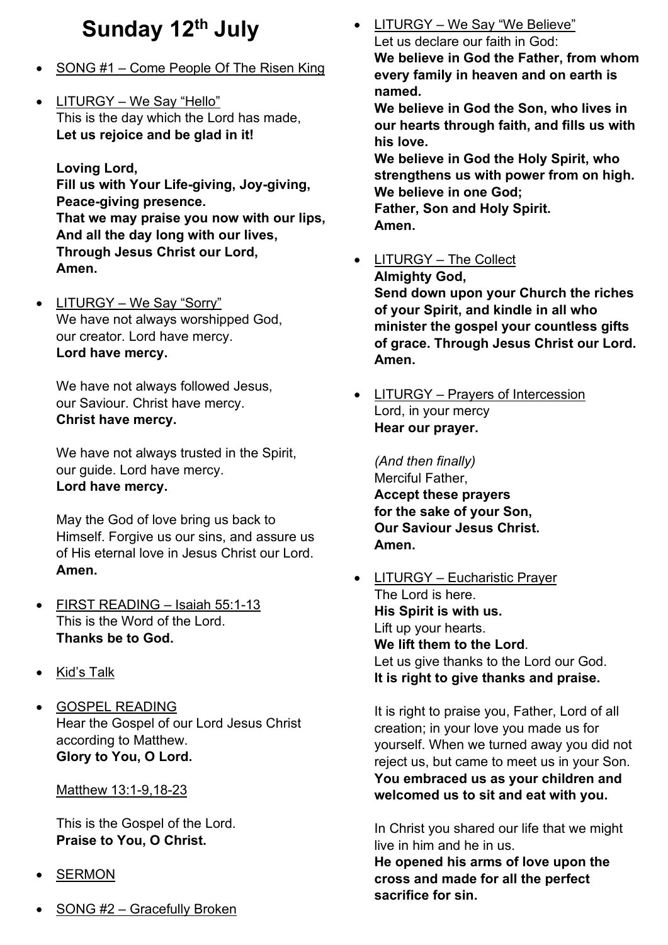## **Sunday 12th July**

- SONG #1 Come People Of The Risen King
- LITURGY We Say "Hello" This is the day which the Lord has made, **Let us rejoice and be glad in it!**

**Loving Lord,**

**Fill us with Your Life-giving, Joy-giving, Peace-giving presence. That we may praise you now with our lips, And all the day long with our lives, Through Jesus Christ our Lord, Amen.**

• LITURGY – We Say "Sorry" We have not always worshipped God, our creator. Lord have mercy. **Lord have mercy.**

We have not always followed Jesus, our Saviour. Christ have mercy. **Christ have mercy.**

We have not always trusted in the Spirit, our guide. Lord have mercy. **Lord have mercy.**

May the God of love bring us back to Himself. Forgive us our sins, and assure us of His eternal love in Jesus Christ our Lord. **Amen.**

- FIRST READING Isaiah 55:1-13 This is the Word of the Lord. **Thanks be to God.**
- Kid's Talk
- GOSPEL READING Hear the Gospel of our Lord Jesus Christ according to Matthew. **Glory to You, O Lord.**

## Matthew 13:1-9,18-23

This is the Gospel of the Lord. **Praise to You, O Christ.**

- **SERMON**
- SONG #2 Gracefully Broken

• LITURGY – We Say "We Believe" Let us declare our faith in God: **We believe in God the Father, from whom every family in heaven and on earth is** 

**named. We believe in God the Son, who lives in our hearts through faith, and fills us with his love.**

**We believe in God the Holy Spirit, who strengthens us with power from on high. We believe in one God;**

**Father, Son and Holy Spirit. Amen.**

• LITURGY – The Collect

**Almighty God,**

**Send down upon your Church the riches of your Spirit, and kindle in all who minister the gospel your countless gifts of grace. Through Jesus Christ our Lord. Amen.**

• LITURGY – Prayers of Intercession Lord, in your mercy **Hear our prayer.**

*(And then finally)* Merciful Father, **Accept these prayers for the sake of your Son, Our Saviour Jesus Christ. Amen.**

• LITURGY – Eucharistic Prayer The Lord is here. **His Spirit is with us.** Lift up your hearts. **We lift them to the Lord**. Let us give thanks to the Lord our God. **It is right to give thanks and praise.**

It is right to praise you, Father, Lord of all creation; in your love you made us for yourself. When we turned away you did not reject us, but came to meet us in your Son. **You embraced us as your children and welcomed us to sit and eat with you.**

In Christ you shared our life that we might live in him and he in us.

**He opened his arms of love upon the cross and made for all the perfect sacrifice for sin.**